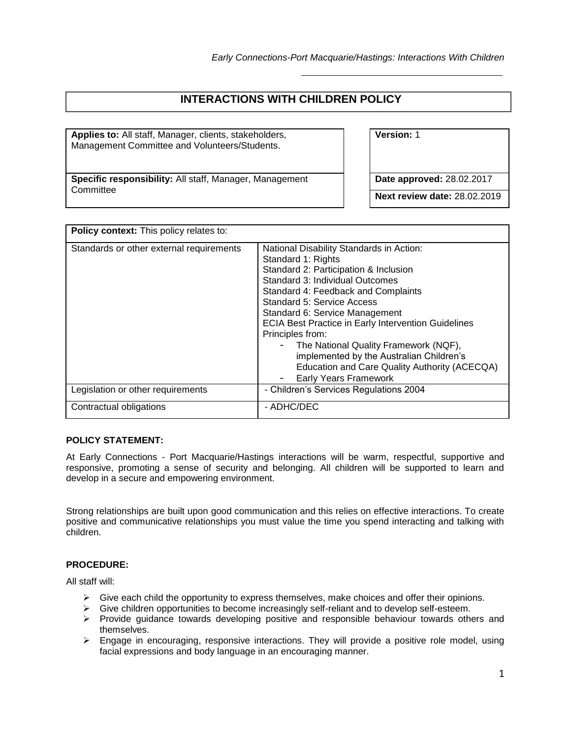## **INTERACTIONS WITH CHILDREN POLICY**

**Applies to:** All staff, Manager, clients, stakeholders, Management Committee and Volunteers/Students.

**Specific responsibility:** All staff, Manager, Management **Committee** 

**Version:** 1

**Date approved:** 28.02.2017

**Next review date:** 28.02.2019

| Policy context: This policy relates to:  |                                                                                                                                                                                                                                                                                                                                                                                                                                                                                                           |  |  |  |
|------------------------------------------|-----------------------------------------------------------------------------------------------------------------------------------------------------------------------------------------------------------------------------------------------------------------------------------------------------------------------------------------------------------------------------------------------------------------------------------------------------------------------------------------------------------|--|--|--|
| Standards or other external requirements | National Disability Standards in Action:<br>Standard 1: Rights<br>Standard 2: Participation & Inclusion<br>Standard 3: Individual Outcomes<br>Standard 4: Feedback and Complaints<br>Standard 5: Service Access<br>Standard 6: Service Management<br><b>ECIA Best Practice in Early Intervention Guidelines</b><br>Principles from:<br>The National Quality Framework (NQF),<br>implemented by the Australian Children's<br>Education and Care Quality Authority (ACECQA)<br><b>Early Years Framework</b> |  |  |  |
| Legislation or other requirements        | - Children's Services Regulations 2004                                                                                                                                                                                                                                                                                                                                                                                                                                                                    |  |  |  |
| Contractual obligations                  | - ADHC/DEC                                                                                                                                                                                                                                                                                                                                                                                                                                                                                                |  |  |  |

## **POLICY STATEMENT:**

At Early Connections - Port Macquarie/Hastings interactions will be warm, respectful, supportive and responsive, promoting a sense of security and belonging. All children will be supported to learn and develop in a secure and empowering environment.

Strong relationships are built upon good communication and this relies on effective interactions. To create positive and communicative relationships you must value the time you spend interacting and talking with children.

## **PROCEDURE:**

All staff will:

- $\triangleright$  Give each child the opportunity to express themselves, make choices and offer their opinions.
- ➢ Give children opportunities to become increasingly self-reliant and to develop self-esteem.
- ➢ Provide guidance towards developing positive and responsible behaviour towards others and themselves.
- ➢ Engage in encouraging, responsive interactions. They will provide a positive role model, using facial expressions and body language in an encouraging manner.